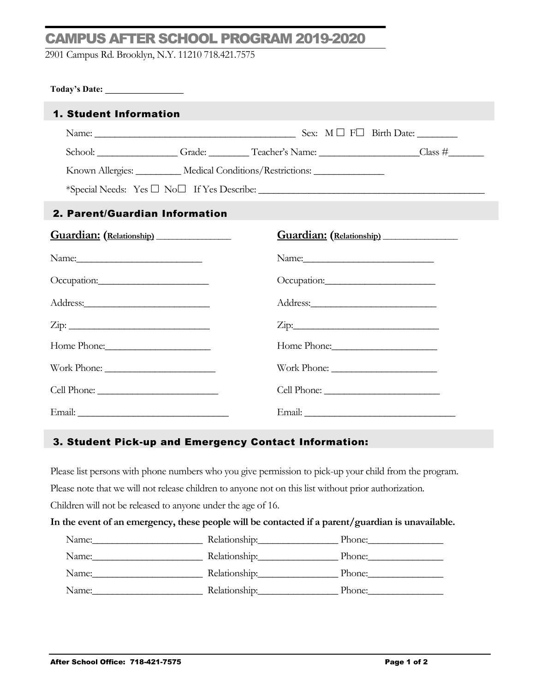## CAMPUS AFTER SCHOOL PROGRAM 2019-2020

2901 Campus Rd. Brooklyn, N.Y. 11210 718.421.7575

| <b>1. Student Information</b>                                       |                                                                                  |                                                                                                      |                            |  |  |
|---------------------------------------------------------------------|----------------------------------------------------------------------------------|------------------------------------------------------------------------------------------------------|----------------------------|--|--|
|                                                                     |                                                                                  |                                                                                                      |                            |  |  |
|                                                                     |                                                                                  | School: _________________Grade: ________Teacher's Name: _____________________Class #________________ |                            |  |  |
|                                                                     | Known Allergies: ________ Medical Conditions/Restrictions: _____________________ |                                                                                                      |                            |  |  |
| $*Special\ Needs: Yes \Box\ No \Box\ If Yes \ Describe: __________$ |                                                                                  |                                                                                                      |                            |  |  |
| 2. Parent/Guardian Information                                      |                                                                                  |                                                                                                      |                            |  |  |
| Guardian: (Relationship)                                            |                                                                                  |                                                                                                      | Guardian: (Relationship)   |  |  |
|                                                                     |                                                                                  |                                                                                                      |                            |  |  |
|                                                                     |                                                                                  |                                                                                                      | Occupation:                |  |  |
|                                                                     |                                                                                  |                                                                                                      |                            |  |  |
| $\overline{\mathrm{Zip:}}$                                          |                                                                                  |                                                                                                      | $\overline{\mathrm{Zip:}}$ |  |  |
| Home Phone: <u>_________________________________</u>                |                                                                                  |                                                                                                      |                            |  |  |
|                                                                     |                                                                                  |                                                                                                      |                            |  |  |
|                                                                     |                                                                                  |                                                                                                      |                            |  |  |
|                                                                     |                                                                                  |                                                                                                      |                            |  |  |

### 3. Student Pick-up and Emergency Contact Information:

Please list persons with phone numbers who you give permission to pick-up your child from the program. Please note that we will not release children to anyone not on this list without prior authorization. Children will not be released to anyone under the age of 16.

#### **In the event of an emergency, these people will be contacted if a parent/guardian is unavailable.**

| Name: | Relationship: | Phone: |
|-------|---------------|--------|
| Name: | Relationship: | Phone: |
| Name: | Relationship: | Phone: |
| Name: | Relationship: | Phone: |